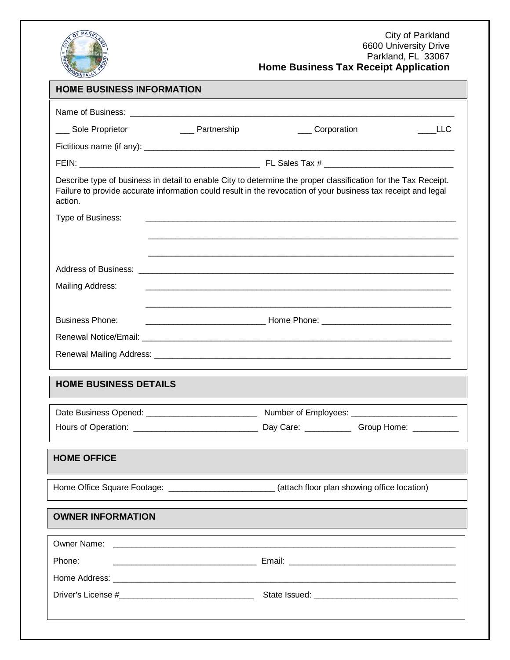

### City of Parkland 6600 University Drive Parkland, FL 33067 **Home Business Tax Receipt Application**

| <b>HOME BUSINESS INFORMATION</b>                                                                                                                                                                                                           |                                                                                                                       |                                                                                                    |            |  |  |
|--------------------------------------------------------------------------------------------------------------------------------------------------------------------------------------------------------------------------------------------|-----------------------------------------------------------------------------------------------------------------------|----------------------------------------------------------------------------------------------------|------------|--|--|
|                                                                                                                                                                                                                                            |                                                                                                                       |                                                                                                    |            |  |  |
| __ Sole Proprietor                                                                                                                                                                                                                         | <b>Example 2</b> Partnership                                                                                          | Corporation                                                                                        | <b>LLC</b> |  |  |
|                                                                                                                                                                                                                                            |                                                                                                                       |                                                                                                    |            |  |  |
|                                                                                                                                                                                                                                            |                                                                                                                       |                                                                                                    |            |  |  |
| Describe type of business in detail to enable City to determine the proper classification for the Tax Receipt.<br>Failure to provide accurate information could result in the revocation of your business tax receipt and legal<br>action. |                                                                                                                       |                                                                                                    |            |  |  |
| Type of Business:                                                                                                                                                                                                                          |                                                                                                                       |                                                                                                    |            |  |  |
|                                                                                                                                                                                                                                            |                                                                                                                       |                                                                                                    |            |  |  |
|                                                                                                                                                                                                                                            |                                                                                                                       |                                                                                                    |            |  |  |
|                                                                                                                                                                                                                                            |                                                                                                                       |                                                                                                    |            |  |  |
| Mailing Address:                                                                                                                                                                                                                           |                                                                                                                       |                                                                                                    |            |  |  |
|                                                                                                                                                                                                                                            |                                                                                                                       |                                                                                                    |            |  |  |
| <b>Business Phone:</b>                                                                                                                                                                                                                     |                                                                                                                       |                                                                                                    |            |  |  |
|                                                                                                                                                                                                                                            |                                                                                                                       |                                                                                                    |            |  |  |
|                                                                                                                                                                                                                                            |                                                                                                                       |                                                                                                    |            |  |  |
| <b>HOME BUSINESS DETAILS</b>                                                                                                                                                                                                               |                                                                                                                       |                                                                                                    |            |  |  |
|                                                                                                                                                                                                                                            |                                                                                                                       |                                                                                                    |            |  |  |
|                                                                                                                                                                                                                                            |                                                                                                                       |                                                                                                    |            |  |  |
| <b>HOME OFFICE</b>                                                                                                                                                                                                                         |                                                                                                                       |                                                                                                    |            |  |  |
|                                                                                                                                                                                                                                            |                                                                                                                       | Home Office Square Footage: ___________________________(attach floor plan showing office location) |            |  |  |
| <b>OWNER INFORMATION</b>                                                                                                                                                                                                                   |                                                                                                                       |                                                                                                    |            |  |  |
| Owner Name:                                                                                                                                                                                                                                | <u> 1989 - Johann Stoff, deutscher Stoff und der Stoff und der Stoff und der Stoff und der Stoff und der Stoff un</u> |                                                                                                    |            |  |  |
| Phone:                                                                                                                                                                                                                                     |                                                                                                                       |                                                                                                    |            |  |  |
|                                                                                                                                                                                                                                            |                                                                                                                       |                                                                                                    |            |  |  |
|                                                                                                                                                                                                                                            |                                                                                                                       |                                                                                                    |            |  |  |
|                                                                                                                                                                                                                                            |                                                                                                                       |                                                                                                    |            |  |  |
|                                                                                                                                                                                                                                            |                                                                                                                       |                                                                                                    |            |  |  |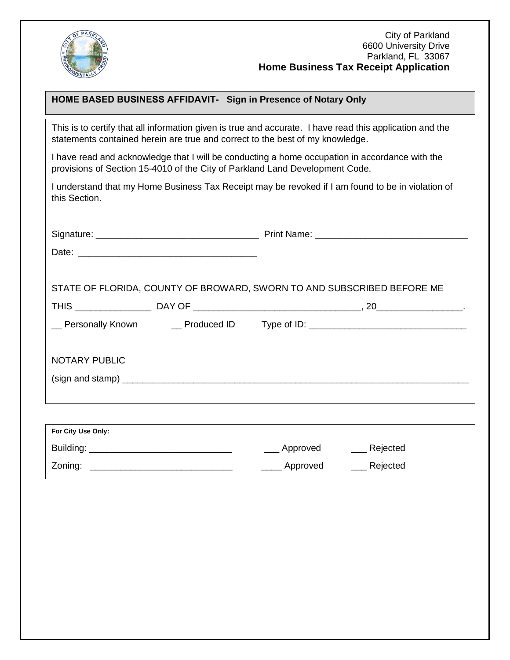

# **HOME BASED BUSINESS AFFIDAVIT- Sign in Presence of Notary Only**

This is to certify that all information given is true and accurate. I have read this application and the statements contained herein are true and correct to the best of my knowledge.

I have read and acknowledge that I will be conducting a home occupation in accordance with the provisions of Section 15-4010 of the City of Parkland Land Development Code.

I understand that my Home Business Tax Receipt may be revoked if I am found to be in violation of this Section.

|                      | STATE OF FLORIDA, COUNTY OF BROWARD, SWORN TO AND SUBSCRIBED BEFORE ME |
|----------------------|------------------------------------------------------------------------|
|                      |                                                                        |
|                      |                                                                        |
| <b>NOTARY PUBLIC</b> |                                                                        |
|                      |                                                                        |
|                      |                                                                        |
|                      |                                                                        |
| For City Use Only:   |                                                                        |

| Building: | ____ Approved | Rejected              |
|-----------|---------------|-----------------------|
| Zoning:   | Approved      | <sub>-</sub> Rejected |